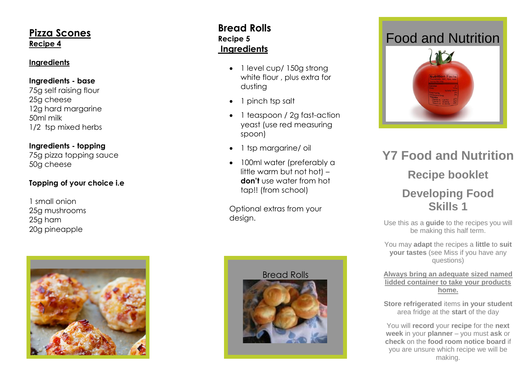### **Pizza Scones Recipe 4**

#### **Ingredients**

#### **Ingredients - base**

75g self raising flour 25g cheese 12g hard margarine 50ml milk 1/2 tsp mixed herbs

### **Ingredients - topping**

75g pizza topping sauce 50g cheese

### **Topping of your choice i.e**

1 small onion 25g mushrooms 25g ham 20g pineapple



### **Bread Rolls Recipe 5 Ingredients**

- 1 level cup/ 150g strong white flour , plus extra for dusting
- 1 pinch tsp [salt](http://www.bbcgoodfood.com/content/knowhow/glossary/salt/)
- 1 teaspoon / 2g fast-action [yeast](http://www.bbcgoodfood.com/content/knowhow/glossary/yeast/) (use red measuring spoon)
- 1 tsp margarine/ oil
- 100ml water (preferably a little warm but not hot) – **don't** use water from hot tap!! (from school)

Optional extras from your design.



# Food and Nutrition



# **Y 7 Food and Nutrition Recipe booklet Developing Food Skills 1**

Use this as a **guide** to the recipes you will be making this half term.

You may **adapt** the recipes a **little** to **suit your tastes** (see Miss if you have any questions)

**Always bring an adequate sized named lidded container to take your products home.**

**Store refrigerated** items **in your student**  area fridge at the **start** of the day

You will **record** your **recipe** for the **next week** in your **planner** – you must **ask** or **check** on the **food room notice board** if you are unsure which recipe we will be making.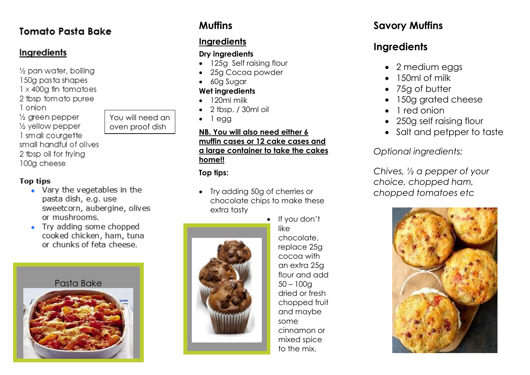# **Tomato Pasta Bake**

## Ingredients

1/2 pan water, boilina 150a pasta shapes  $1 \times 400$ g fin tomatoes 2 tbsp tomato puree 1 onion  $\frac{1}{2}$  areen pepper 1/2 yellow pepper 1 small courgette small handful of olives 2 tbsp oil for frvina 100a cheese

You will need an oven proof dish

#### **Top tips**

- Vary the vegetables in the pasta dish, e.g. use sweetcorn, aubergine, olives or mushrooms.
- Try adding some chopped cooked chicken, ham, tuna or chunks of feta cheese.

### Pasta Bake



# **Muffins**

## **Ingredients**

### **Dry ingredients**

- 125g Self raising flour
- 25g Cocoa powder
- 60g Sugar

### **Wet ingredients**

- 120ml milk
- 2 tbsp. / 30ml oil
- $\bullet$  1 egg

#### **NB. You will also need either 6 muffin cases or 12 cake cases and a large container to take the cakes home!!**

### **Top tips:**

 Try adding 50g of cherries or chocolate chips to make these extra tasty



• If you don't like chocolate, replace 25g cocoa with an extra 25g flour and add 50 – 100g dried or fresh chopped fruit and maybe some cinnamon or mixed spice to the mix.

# **Savory Muffins**

# **Ingredients**

- 2 medium eggs
- 150ml of milk
- 75g of butter
- 150g grated cheese
- 1 red onion
- 250g self raising flour
- Salt and petpper to taste

*Optional ingredients:*

*Chives, ½ a pepper of your choice, chopped ham, chopped tomatoes etc*